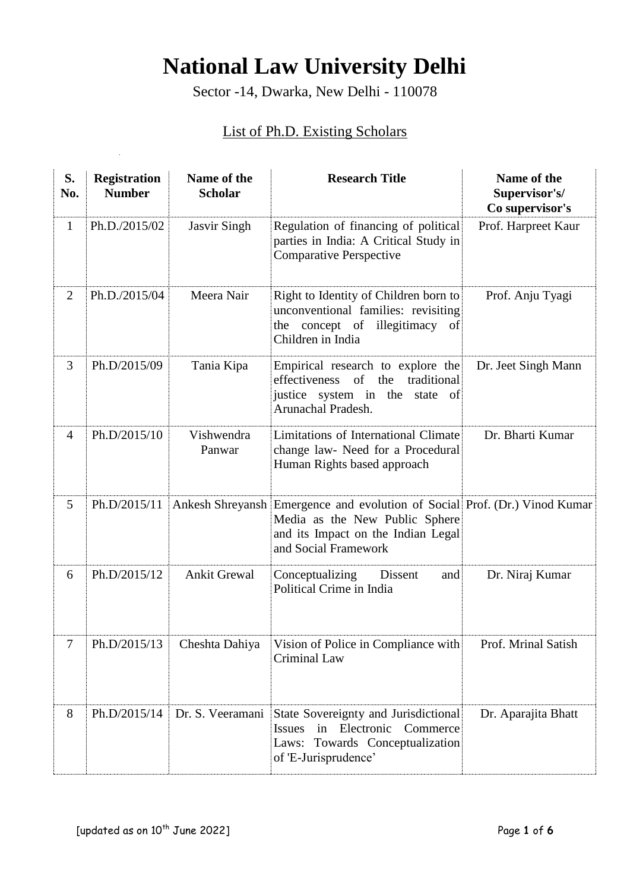## **National Law University Delhi**

Sector -14, Dwarka, New Delhi - 110078

## List of Ph.D. Existing Scholars

| S.<br>No.      | <b>Registration</b><br><b>Number</b> | Name of the<br><b>Scholar</b> | <b>Research Title</b>                                                                                                                                                      | Name of the<br>Supervisor's/<br>Co supervisor's |
|----------------|--------------------------------------|-------------------------------|----------------------------------------------------------------------------------------------------------------------------------------------------------------------------|-------------------------------------------------|
| $\mathbf{1}$   | Ph.D./2015/02                        | <b>Jasvir Singh</b>           | Regulation of financing of political<br>parties in India: A Critical Study in<br><b>Comparative Perspective</b>                                                            | Prof. Harpreet Kaur                             |
| $\overline{2}$ | Ph.D./2015/04                        | Meera Nair                    | Right to Identity of Children born to<br>unconventional families: revisiting<br>the concept of illegitimacy of<br>Children in India                                        | Prof. Anju Tyagi                                |
| 3              | Ph.D/2015/09                         | Tania Kipa                    | Empirical research to explore the<br>of<br>effectiveness<br>the<br>traditional<br>justice system in the state of<br>Arunachal Pradesh.                                     | Dr. Jeet Singh Mann                             |
| $\overline{4}$ | Ph.D/2015/10                         | Vishwendra<br>Panwar          | Limitations of International Climate<br>change law- Need for a Procedural<br>Human Rights based approach                                                                   | Dr. Bharti Kumar                                |
| 5              | Ph.D/2015/11                         |                               | Ankesh Shreyansh Emergence and evolution of Social Prof. (Dr.) Vinod Kumar<br>Media as the New Public Sphere<br>and its Impact on the Indian Legal<br>and Social Framework |                                                 |
| 6              | Ph.D/2015/12                         | <b>Ankit Grewal</b>           | Conceptualizing<br>Dissent<br>and<br>Political Crime in India                                                                                                              | Dr. Niraj Kumar                                 |
| 7              | Ph.D/2015/13                         | Cheshta Dahiya                | Vision of Police in Compliance with<br><b>Criminal Law</b>                                                                                                                 | Prof. Mrinal Satish                             |
| 8              | Ph.D/2015/14                         | Dr. S. Veeramani              | State Sovereignty and Jurisdictional<br>in Electronic Commerce<br><b>Issues</b><br>Laws: Towards Conceptualization<br>of 'E-Jurisprudence'                                 | Dr. Aparajita Bhatt                             |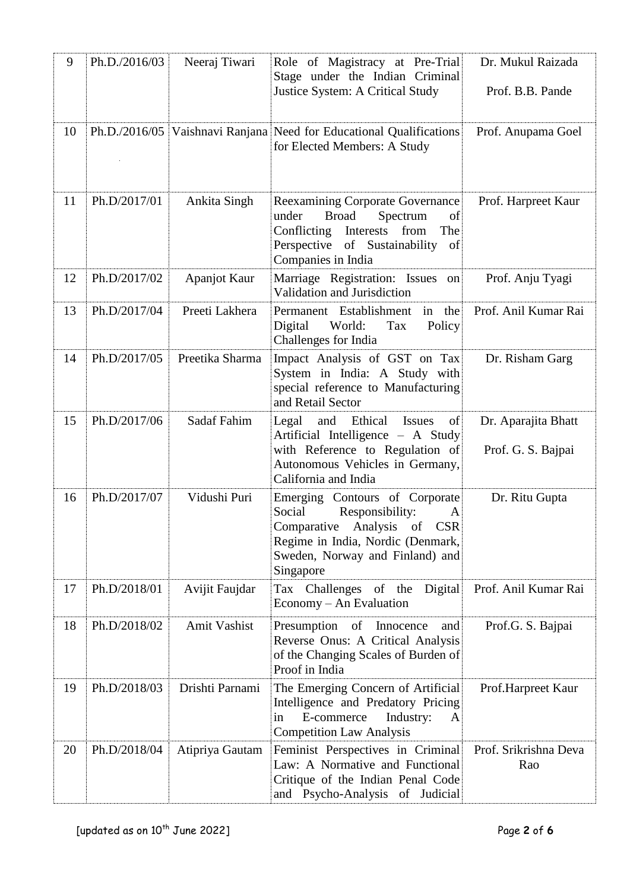| 9  | Ph.D./2016/03 | Neeraj Tiwari       | Role of Magistracy at Pre-Trial<br>Stage under the Indian Criminal<br>Justice System: A Critical Study                                                                                  | Dr. Mukul Raizada<br>Prof. B.B. Pande     |
|----|---------------|---------------------|-----------------------------------------------------------------------------------------------------------------------------------------------------------------------------------------|-------------------------------------------|
| 10 |               |                     | Ph.D./2016/05 Vaishnavi Ranjana Need for Educational Qualifications<br>for Elected Members: A Study                                                                                     | Prof. Anupama Goel                        |
| 11 | Ph.D/2017/01  | Ankita Singh        | <b>Reexamining Corporate Governance</b><br><b>Broad</b><br>under<br>Spectrum<br>οf<br>Conflicting<br>Interests<br>from<br>The<br>Perspective of Sustainability of<br>Companies in India | Prof. Harpreet Kaur                       |
| 12 | Ph.D/2017/02  | Apanjot Kaur        | Marriage Registration: Issues on<br>Validation and Jurisdiction                                                                                                                         | Prof. Anju Tyagi                          |
| 13 | Ph.D/2017/04  | Preeti Lakhera      | Permanent Establishment<br>in the<br>Digital<br>World:<br>Tax<br>Policy<br>Challenges for India                                                                                         | Prof. Anil Kumar Rai                      |
| 14 | Ph.D/2017/05  | Preetika Sharma     | Impact Analysis of GST on Tax<br>System in India: A Study with<br>special reference to Manufacturing<br>and Retail Sector                                                               | Dr. Risham Garg                           |
| 15 | Ph.D/2017/06  | Sadaf Fahim         | and<br>Ethical<br>Legal<br><b>Issues</b><br>of<br>Artificial Intelligence - A Study<br>with Reference to Regulation of<br>Autonomous Vehicles in Germany,<br>California and India       | Dr. Aparajita Bhatt<br>Prof. G. S. Bajpai |
| 16 | Ph.D/2017/07  | Vidushi Puri        | Emerging Contours of Corporate<br>Social<br>Responsibility:<br>A<br>Comparative Analysis of CSR<br>Regime in India, Nordic (Denmark,<br>Sweden, Norway and Finland) and<br>Singapore    | Dr. Ritu Gupta                            |
| 17 | Ph.D/2018/01  | Avijit Faujdar      | Digital<br>Tax Challenges of the<br>Economy – An Evaluation                                                                                                                             | Prof. Anil Kumar Rai                      |
| 18 | Ph.D/2018/02  | <b>Amit Vashist</b> | Presumption of Innocence<br>and<br>Reverse Onus: A Critical Analysis<br>of the Changing Scales of Burden of<br>Proof in India                                                           | Prof.G. S. Bajpai                         |
| 19 | Ph.D/2018/03  | Drishti Parnami     | The Emerging Concern of Artificial<br>Intelligence and Predatory Pricing<br>E-commerce<br>Industry:<br>in<br>A<br><b>Competition Law Analysis</b>                                       | Prof.Harpreet Kaur                        |
| 20 | Ph.D/2018/04  | Atipriya Gautam     | Feminist Perspectives in Criminal<br>Law: A Normative and Functional<br>Critique of the Indian Penal Code<br>and Psycho-Analysis of Judicial                                            | Prof. Srikrishna Deva<br>Rao              |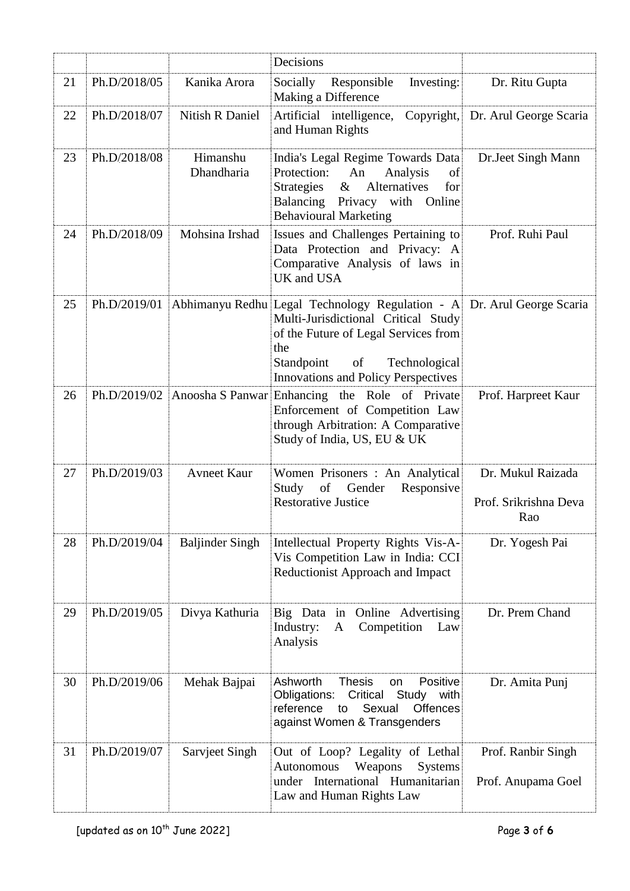|    |              |                        | Decisions                                                                                                                                                                                                                                       |                                                   |
|----|--------------|------------------------|-------------------------------------------------------------------------------------------------------------------------------------------------------------------------------------------------------------------------------------------------|---------------------------------------------------|
| 21 | Ph.D/2018/05 | Kanika Arora           | Socially<br>Responsible<br>Investing:<br>Making a Difference                                                                                                                                                                                    | Dr. Ritu Gupta                                    |
| 22 | Ph.D/2018/07 | Nitish R Daniel        | Artificial intelligence,<br>and Human Rights                                                                                                                                                                                                    | Copyright, Dr. Arul George Scaria                 |
| 23 | Ph.D/2018/08 | Himanshu<br>Dhandharia | India's Legal Regime Towards Data<br>Protection:<br>An<br>Analysis<br>of<br>$\&$<br>Alternatives<br>Strategies<br>for<br>Balancing Privacy with Online<br><b>Behavioural Marketing</b>                                                          | Dr.Jeet Singh Mann                                |
| 24 | Ph.D/2018/09 | Mohsina Irshad         | Issues and Challenges Pertaining to<br>Data Protection and Privacy: A<br>Comparative Analysis of laws in<br>UK and USA                                                                                                                          | Prof. Ruhi Paul                                   |
| 25 | Ph.D/2019/01 |                        | Abhimanyu Redhu Legal Technology Regulation - A Dr. Arul George Scaria<br>Multi-Jurisdictional Critical Study<br>of the Future of Legal Services from<br>the<br>Standpoint<br>of<br>Technological<br><b>Innovations and Policy Perspectives</b> |                                                   |
| 26 |              |                        | Ph.D/2019/02 Anoosha S Panwar Enhancing the Role of Private<br>Enforcement of Competition Law<br>through Arbitration: A Comparative<br>Study of India, US, EU & UK                                                                              | Prof. Harpreet Kaur                               |
| 27 | Ph.D/2019/03 | <b>Avneet Kaur</b>     | Women Prisoners : An Analytical<br>Study<br>of<br>Gender<br>Responsive<br><b>Restorative Justice</b>                                                                                                                                            | Dr. Mukul Raizada<br>Prof. Srikrishna Deva<br>Rao |
| 28 | Ph.D/2019/04 | <b>Baljinder Singh</b> | Intellectual Property Rights Vis-A-<br>Vis Competition Law in India: CCI<br>Reductionist Approach and Impact                                                                                                                                    | Dr. Yogesh Pai                                    |
| 29 | Ph.D/2019/05 | Divya Kathuria         | Big Data in Online Advertising<br>Industry:<br>Competition<br>Law<br>A<br>Analysis                                                                                                                                                              | Dr. Prem Chand                                    |
| 30 | Ph.D/2019/06 | Mehak Bajpai           | Ashworth<br><b>Thesis</b><br>Positive<br>on<br>Critical<br>Study with<br>Obligations:<br>Sexual<br>Offences<br>reference<br>to<br>against Women & Transgenders                                                                                  | Dr. Amita Punj                                    |
| 31 | Ph.D/2019/07 | Sarvjeet Singh         | Out of Loop? Legality of Lethal<br>Autonomous<br>Weapons<br><b>Systems</b><br>International Humanitarian<br>under<br>Law and Human Rights Law                                                                                                   | Prof. Ranbir Singh<br>Prof. Anupama Goel          |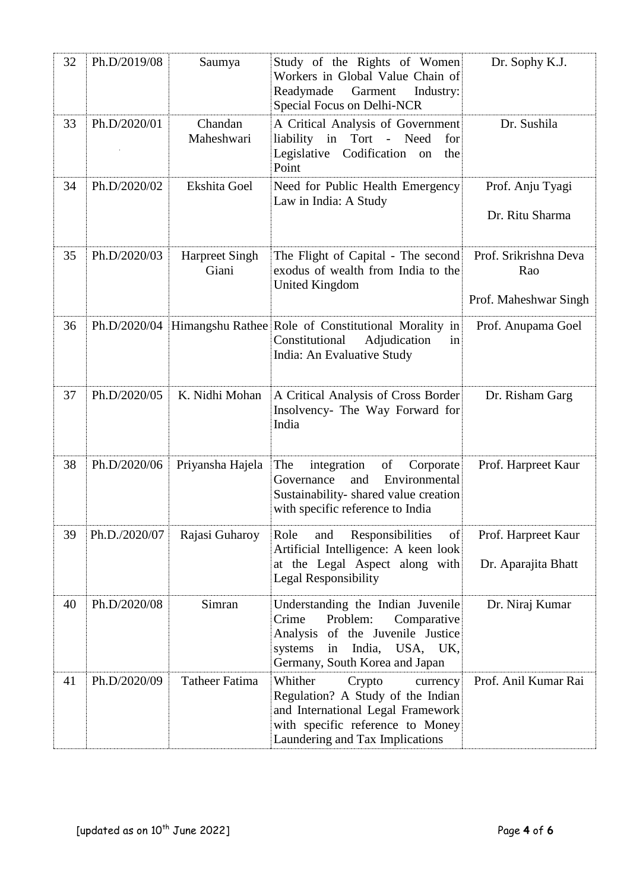| 32 | Ph.D/2019/08  | Saumya                         | Study of the Rights of Women<br>Workers in Global Value Chain of<br>Readymade<br>Garment<br>Industry:<br>Special Focus on Delhi-NCR                                                   | Dr. Sophy K.J.                                        |
|----|---------------|--------------------------------|---------------------------------------------------------------------------------------------------------------------------------------------------------------------------------------|-------------------------------------------------------|
| 33 | Ph.D/2020/01  | Chandan<br>Maheshwari          | A Critical Analysis of Government<br>in<br>Tort -<br>Need<br>liability<br>for<br>Codification<br>Legislative<br>the<br>on<br>Point                                                    | Dr. Sushila                                           |
| 34 | Ph.D/2020/02  | Ekshita Goel                   | Need for Public Health Emergency<br>Law in India: A Study                                                                                                                             | Prof. Anju Tyagi<br>Dr. Ritu Sharma                   |
| 35 | Ph.D/2020/03  | <b>Harpreet Singh</b><br>Giani | The Flight of Capital - The second<br>exodus of wealth from India to the<br><b>United Kingdom</b>                                                                                     | Prof. Srikrishna Deva<br>Rao<br>Prof. Maheshwar Singh |
| 36 | Ph.D/2020/04  |                                | Himangshu Rathee Role of Constitutional Morality in<br>Constitutional<br>Adjudication<br>in<br>India: An Evaluative Study                                                             | Prof. Anupama Goel                                    |
| 37 | Ph.D/2020/05  | K. Nidhi Mohan                 | A Critical Analysis of Cross Border<br>Insolvency- The Way Forward for<br>India                                                                                                       | Dr. Risham Garg                                       |
| 38 | Ph.D/2020/06  | Priyansha Hajela               | The<br>integration<br>of<br>Corporate<br>and<br>Environmental<br>Governance<br>Sustainability-shared value creation<br>with specific reference to India                               | Prof. Harpreet Kaur                                   |
| 39 | Ph.D./2020/07 | Rajasi Guharoy                 | Responsibilities<br>Role<br>and<br>of<br>Artificial Intelligence: A keen look<br>at the Legal Aspect along with<br><b>Legal Responsibility</b>                                        | Prof. Harpreet Kaur<br>Dr. Aparajita Bhatt            |
| 40 | Ph.D/2020/08  | Simran                         | Understanding the Indian Juvenile<br>Problem:<br>Crime<br>Comparative<br>of the Juvenile Justice<br>Analysis<br>USA, UK,<br>systems<br>in<br>India,<br>Germany, South Korea and Japan | Dr. Niraj Kumar                                       |
| 41 | Ph.D/2020/09  | <b>Tatheer Fatima</b>          | Whither<br>Crypto<br>currency<br>Regulation? A Study of the Indian<br>and International Legal Framework<br>with specific reference to Money<br>Laundering and Tax Implications        | Prof. Anil Kumar Rai                                  |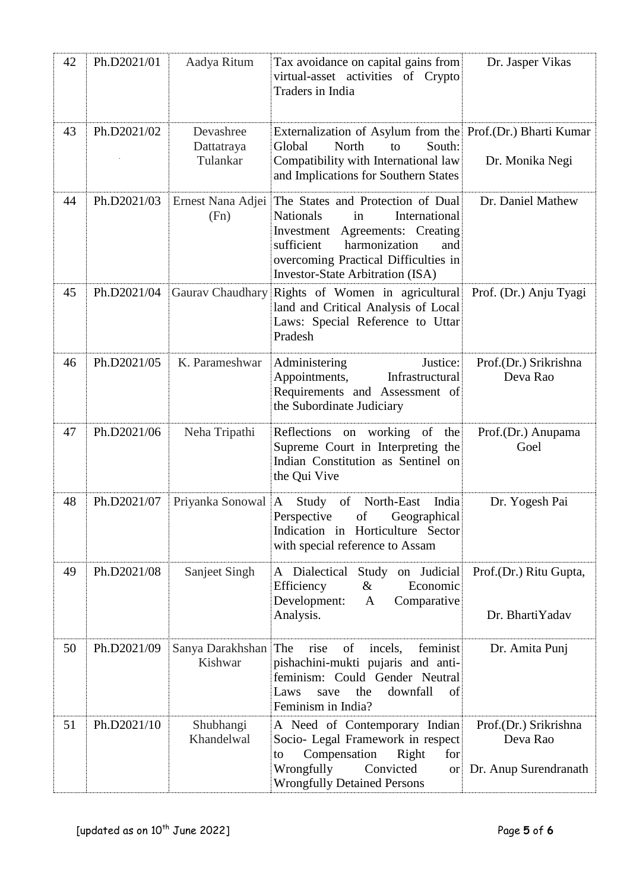| 42 | Ph.D2021/01 | Aadya Ritum                         | Tax avoidance on capital gains from<br>virtual-asset activities of Crypto<br>Traders in India                                                                                                                                                       | Dr. Jasper Vikas                                           |
|----|-------------|-------------------------------------|-----------------------------------------------------------------------------------------------------------------------------------------------------------------------------------------------------------------------------------------------------|------------------------------------------------------------|
| 43 | Ph.D2021/02 | Devashree<br>Dattatraya<br>Tulankar | Externalization of Asylum from the Prof.(Dr.) Bharti Kumar<br>South:<br>North<br>Global<br>to<br>Compatibility with International law<br>and Implications for Southern States                                                                       | Dr. Monika Negi                                            |
| 44 | Ph.D2021/03 | (Fn)                                | Ernest Nana Adjei The States and Protection of Dual<br>Nationals<br>International<br>in<br>Investment Agreements: Creating<br>sufficient<br>harmonization<br>and<br>overcoming Practical Difficulties in<br><b>Investor-State Arbitration (ISA)</b> | Dr. Daniel Mathew                                          |
| 45 | Ph.D2021/04 |                                     | Gaurav Chaudhary Rights of Women in agricultural<br>land and Critical Analysis of Local<br>Laws: Special Reference to Uttar<br>Pradesh                                                                                                              | Prof. (Dr.) Anju Tyagi                                     |
| 46 | Ph.D2021/05 | K. Parameshwar                      | Administering<br>Justice:<br>Appointments,<br>Infrastructural<br>Requirements and Assessment of<br>the Subordinate Judiciary                                                                                                                        | Prof.(Dr.) Srikrishna<br>Deva Rao                          |
| 47 | Ph.D2021/06 | Neha Tripathi                       | Reflections on working of the<br>Supreme Court in Interpreting the<br>Indian Constitution as Sentinel on<br>the Qui Vive                                                                                                                            | Prof.(Dr.) Anupama<br>Goel                                 |
| 48 | Ph.D2021/07 | Priyanka Sonowal                    | of<br>Study<br>North-East<br>India<br>A<br>Perspective<br>of<br>Geographical<br>Indication in Horticulture Sector<br>with special reference to Assam                                                                                                | Dr. Yogesh Pai                                             |
| 49 | Ph.D2021/08 | Sanjeet Singh                       | A Dialectical<br>Study on Judicial<br>Efficiency<br>$\&$<br>Economic<br>Development:<br>$\mathbf{A}$<br>Comparative<br>Analysis.                                                                                                                    | Prof.(Dr.) Ritu Gupta,<br>Dr. BhartiYadav                  |
| 50 | Ph.D2021/09 | Sanya Darakhshan<br>Kishwar         | The<br>of<br>incels,<br>feminist<br>rise<br>pishachini-mukti pujaris and anti-<br>feminism: Could Gender Neutral<br>downfall<br>the<br>Laws<br>of<br>save<br>Feminism in India?                                                                     | Dr. Amita Punj                                             |
| 51 | Ph.D2021/10 | Shubhangi<br>Khandelwal             | A Need of Contemporary Indian<br>Socio- Legal Framework in respect<br>Compensation<br>Right<br>for<br>to<br>Wrongfully<br>Convicted<br><b>or</b><br><b>Wrongfully Detained Persons</b>                                                              | Prof.(Dr.) Srikrishna<br>Deva Rao<br>Dr. Anup Surendranath |